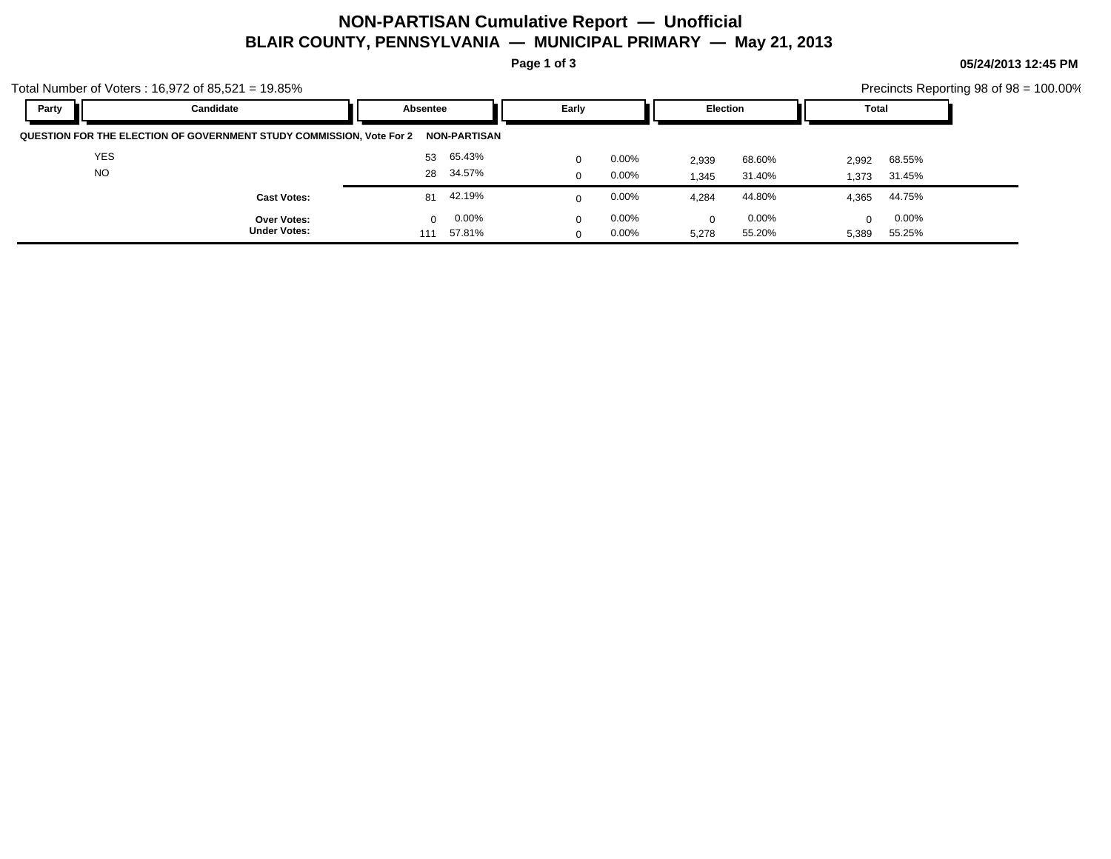## **NON-PARTISAN Cumulative Report — Unofficial BLAIR COUNTY, PENNSYLVANIA — MUNICIPAL PRIMARY — May 21, 2013**

**Page 1 of 3**

**05/24/2013 12:45 PM**

| Party | Candidate                                                                                                                                                                                                                                                                                                                                                                                                                                                                                                                                                                                                                                   | Absentee | Early    | Election | Total |  |
|-------|---------------------------------------------------------------------------------------------------------------------------------------------------------------------------------------------------------------------------------------------------------------------------------------------------------------------------------------------------------------------------------------------------------------------------------------------------------------------------------------------------------------------------------------------------------------------------------------------------------------------------------------------|----------|----------|----------|-------|--|
|       | otal Number of Voters: 16,972 of 85,521 = 19.85%<br>Precincts Reporting 98 of $98 = 100.00\%$<br>QUESTION FOR THE ELECTION OF GOVERNMENT STUDY COMMISSION, Vote For 2<br><b>NON-PARTISAN</b><br><b>YES</b><br>53 65.43%<br>$0.00\%$<br>68.55%<br>0<br>68.60%<br>2,939<br>2,992<br><b>NO</b><br>28 34.57%<br>$0.00\%$<br>31.40%<br>$\Omega$<br>31.45%<br>1,345<br>1.373<br>81 42.19%<br>$0.00\%$<br>44.80%<br>44.75%<br>4,284<br>4.365<br><b>Cast Votes:</b><br>$0.00\%$<br>$0.00\%$<br>$0.00\%$<br>$0.00\%$<br><b>Over Votes:</b><br>0<br>$\Omega$<br>0<br>$\Omega$<br><b>Under Votes:</b><br>57.81%<br>$0.00\%$<br>55.20%<br>55.25%<br>111 |          |          |          |       |  |
|       |                                                                                                                                                                                                                                                                                                                                                                                                                                                                                                                                                                                                                                             |          |          |          |       |  |
|       |                                                                                                                                                                                                                                                                                                                                                                                                                                                                                                                                                                                                                                             |          |          |          |       |  |
|       |                                                                                                                                                                                                                                                                                                                                                                                                                                                                                                                                                                                                                                             |          |          |          |       |  |
|       |                                                                                                                                                                                                                                                                                                                                                                                                                                                                                                                                                                                                                                             |          |          |          |       |  |
|       |                                                                                                                                                                                                                                                                                                                                                                                                                                                                                                                                                                                                                                             |          | $\Omega$ | 5,278    | 5,389 |  |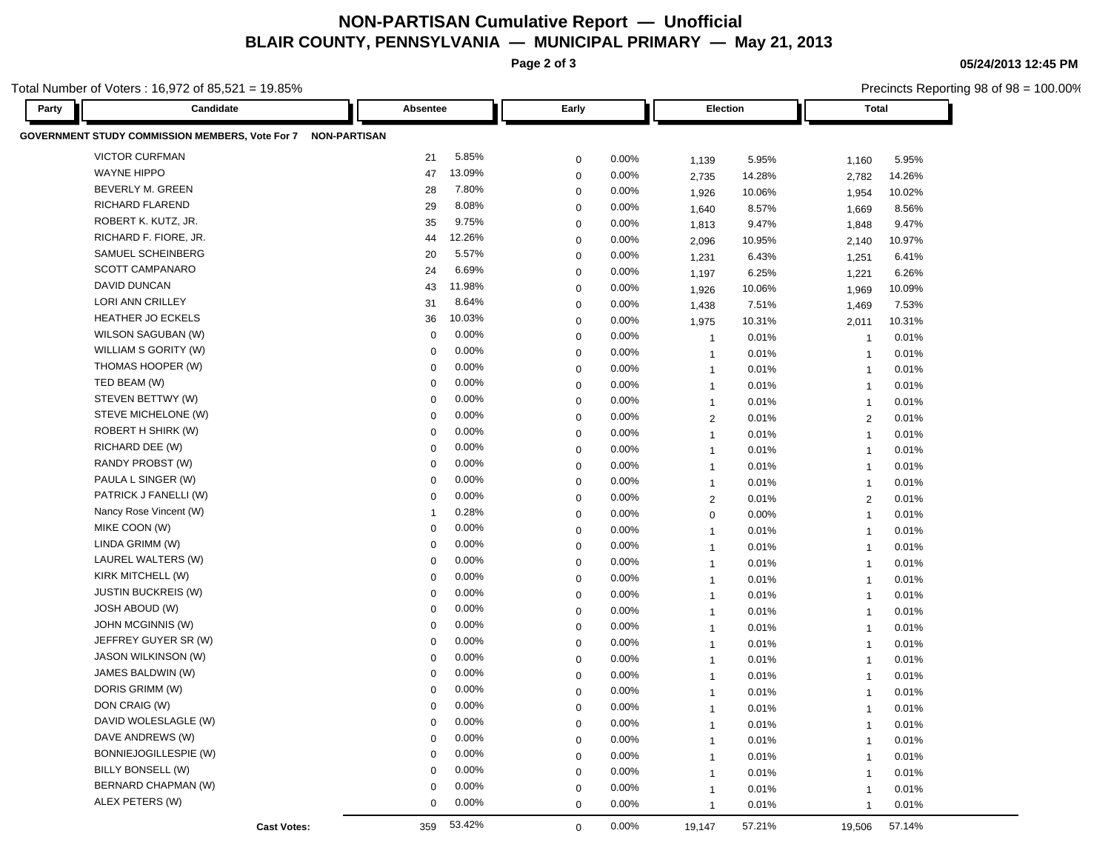## **NON-PARTISAN Cumulative Report — Unofficial BLAIR COUNTY, PENNSYLVANIA — MUNICIPAL PRIMARY — May 21, 2013**

**Page 2 of 3**

**05/24/2013 12:45 PM**

| otal Number of Voters: 16,972 of 85,521 = 19.85%             |                  |                       |       |                                  |        |                         | Precincts Reporting 98 of 98 = 100.00% |
|--------------------------------------------------------------|------------------|-----------------------|-------|----------------------------------|--------|-------------------------|----------------------------------------|
| Candidate<br>Party                                           | Absentee         | Early                 |       | Election                         |        | <b>Total</b>            |                                        |
| GOVERNMENT STUDY COMMISSION MEMBERS, Vote For 7 NON-PARTISAN |                  |                       |       |                                  |        |                         |                                        |
| <b>VICTOR CURFMAN</b>                                        | 21               | 5.85%<br>$\mathbf 0$  | 0.00% | 1,139                            | 5.95%  | 1,160                   | 5.95%                                  |
| <b>WAYNE HIPPO</b>                                           | 47               | 13.09%<br>$\mathbf 0$ | 0.00% | 2,735                            | 14.28% | 2,782                   | 14.26%                                 |
| BEVERLY M. GREEN                                             | 28               | 7.80%<br>0            | 0.00% | 1,926                            | 10.06% | 1,954                   | 10.02%                                 |
| RICHARD FLAREND                                              | 29               | 8.08%<br>0            | 0.00% | 1,640                            | 8.57%  | 1,669                   | 8.56%                                  |
| ROBERT K. KUTZ, JR.                                          | 35               | 9.75%<br>0            | 0.00% | 1,813                            | 9.47%  | 1,848                   | 9.47%                                  |
| RICHARD F. FIORE, JR.                                        | 44               | 12.26%<br>0           | 0.00% | 2,096                            | 10.95% | 2,140                   | 10.97%                                 |
| SAMUEL SCHEINBERG                                            | 20               | 5.57%<br>$\mathbf 0$  | 0.00% | 1,231                            | 6.43%  | 1,251                   | 6.41%                                  |
| SCOTT CAMPANARO                                              | 24               | 6.69%<br>$\mathbf 0$  | 0.00% | 1,197                            | 6.25%  | 1,221                   | 6.26%                                  |
| DAVID DUNCAN                                                 | 43               | 11.98%<br>$\mathbf 0$ | 0.00% | 1,926                            | 10.06% | 1,969                   | 10.09%                                 |
| LORI ANN CRILLEY                                             | 31               | 8.64%<br>0            | 0.00% | 1,438                            | 7.51%  | 1,469                   | 7.53%                                  |
| <b>HEATHER JO ECKELS</b>                                     | 36               | 10.03%<br>$\mathbf 0$ | 0.00% | 1,975                            | 10.31% | 2,011                   | 10.31%                                 |
| WILSON SAGUBAN (W)                                           | 0                | 0.00%<br>$\mathbf 0$  | 0.00% | $\overline{1}$                   | 0.01%  | $\overline{1}$          | 0.01%                                  |
| WILLIAM S GORITY (W)                                         | 0                | 0.00%<br>$\mathbf 0$  | 0.00% | $\overline{1}$                   | 0.01%  | $\overline{\mathbf{1}}$ | 0.01%                                  |
| THOMAS HOOPER (W)                                            | 0                | 0.00%<br>$\mathbf 0$  | 0.00% | $\overline{1}$                   | 0.01%  | $\overline{\mathbf{1}}$ | 0.01%                                  |
| TED BEAM (W)                                                 | 0                | 0.00%<br>0            | 0.00% | $\overline{1}$                   | 0.01%  | $\overline{\mathbf{1}}$ | 0.01%                                  |
| STEVEN BETTWY (W)                                            | 0                | 0.00%<br>0            | 0.00% | $\mathbf{1}$                     | 0.01%  | $\overline{1}$          | 0.01%                                  |
| STEVE MICHELONE (W)                                          | 0                | 0.00%<br>0            | 0.00% |                                  | 0.01%  |                         | 0.01%                                  |
| ROBERT H SHIRK (W)                                           | 0                | 0.00%<br>0            | 0.00% | $\overline{2}$                   | 0.01%  | $\overline{2}$          | 0.01%                                  |
| RICHARD DEE (W)                                              | $\mathbf 0$      | 0.00%<br>0            | 0.00% | $\overline{1}$<br>$\overline{1}$ | 0.01%  | $\overline{1}$          | 0.01%                                  |
| RANDY PROBST (W)                                             | 0                | 0.00%<br>$\mathbf 0$  | 0.00% |                                  | 0.01%  | $\overline{1}$          | 0.01%                                  |
| PAULA L SINGER (W)                                           | 0                | 0.00%<br>$\mathbf 0$  | 0.00% | $\overline{1}$                   |        | $\overline{1}$          |                                        |
| PATRICK J FANELLI (W)                                        | $\Omega$         | 0.00%<br>0            | 0.00% | $\overline{1}$                   | 0.01%  | $\overline{1}$          | 0.01%                                  |
| Nancy Rose Vincent (W)                                       | -1               | 0.28%<br>$\mathbf 0$  | 0.00% | $\overline{2}$                   | 0.01%  | $\overline{2}$          | 0.01%                                  |
| MIKE COON (W)                                                | 0                | 0.00%                 | 0.00% | $\mathbf 0$                      | 0.00%  | $\overline{\mathbf{1}}$ | 0.01%                                  |
| LINDA GRIMM (W)                                              | $\Omega$         | 0<br>0.00%            |       | $\overline{1}$                   | 0.01%  | $\overline{1}$          | 0.01%                                  |
| LAUREL WALTERS (W)                                           | 0                | $\mathbf 0$<br>0.00%  | 0.00% | $\overline{1}$                   | 0.01%  | $\overline{1}$          | 0.01%                                  |
| KIRK MITCHELL (W)                                            | 0                | $\mathbf 0$<br>0.00%  | 0.00% | $\overline{1}$                   | 0.01%  | $\overline{\mathbf{1}}$ | 0.01%                                  |
| <b>JUSTIN BUCKREIS (W)</b>                                   | 0                | 0<br>0.00%            | 0.00% | $\overline{1}$                   | 0.01%  | $\overline{\mathbf{1}}$ | 0.01%                                  |
| <b>JOSH ABOUD (W)</b>                                        |                  | 0<br>0.00%            | 0.00% | $\overline{1}$                   | 0.01%  | $\overline{1}$          | 0.01%                                  |
| JOHN MCGINNIS (W)                                            | 0<br>$\mathbf 0$ | 0<br>0.00%            | 0.00% | $\mathbf{1}$                     | 0.01%  | $\overline{1}$          | 0.01%                                  |
| JEFFREY GUYER SR (W)                                         |                  | 0<br>0.00%            | 0.00% | $\overline{1}$                   | 0.01%  | $\overline{1}$          | 0.01%                                  |
| <b>JASON WILKINSON (W)</b>                                   | $\mathbf 0$      | $\mathbf 0$           | 0.00% | $\overline{1}$                   | 0.01%  | $\overline{1}$          | 0.01%                                  |
|                                                              | 0                | 0.00%<br>$\mathbf 0$  | 0.00% | $\overline{1}$                   | 0.01%  | -1                      | 0.01%                                  |
| JAMES BALDWIN (W)                                            | $\Omega$         | 0.00%<br>$\Omega$     | 0.00% | $\overline{1}$                   | 0.01%  | -1                      | 0.01%                                  |
| DORIS GRIMM (W)                                              | $\Omega$         | 0.00%<br>$\mathbf 0$  | 0.00% | $\mathbf{1}$                     | 0.01%  | $\overline{1}$          | 0.01%                                  |
| DON CRAIG (W)                                                | 0                | 0.00%<br>$\Omega$     | 0.00% |                                  | 0.01%  |                         | 0.01%                                  |
| DAVID WOLESLAGLE (W)                                         | $\mathbf 0$      | 0.00%<br>0            | 0.00% | $\mathbf{1}$                     | 0.01%  | $\overline{1}$          | 0.01%                                  |
| DAVE ANDREWS (W)                                             | 0                | $0.00\%$<br>$\Omega$  | 0.00% | $\mathbf{1}$                     | 0.01%  | -1                      | 0.01%                                  |
| BONNIEJOGILLESPIE (W)                                        | $\Omega$         | 0.00%<br>$\mathbf 0$  | 0.00% | $\mathbf{1}$                     | 0.01%  | -1                      | 0.01%                                  |
| BILLY BONSELL (W)                                            | 0                | 0.00%<br>0            | 0.00% | $\mathbf{1}$                     | 0.01%  |                         | 0.01%                                  |
| BERNARD CHAPMAN (W)                                          | 0                | 0.00%<br>0            | 0.00% | $\mathbf{1}$                     | 0.01%  | $\mathbf 1$             | 0.01%                                  |
| ALEX PETERS (W)                                              | 0                | 0.00%<br>0            | 0.00% | $\mathbf{1}$                     | 0.01%  | $\mathbf{1}$            | 0.01%                                  |
| <b>Cast Votes:</b>                                           | 359              | 53.42%<br>$\mathbf 0$ | 0.00% | 19,147                           | 57.21% | 19,506                  | 57.14%                                 |
|                                                              |                  |                       |       |                                  |        |                         |                                        |